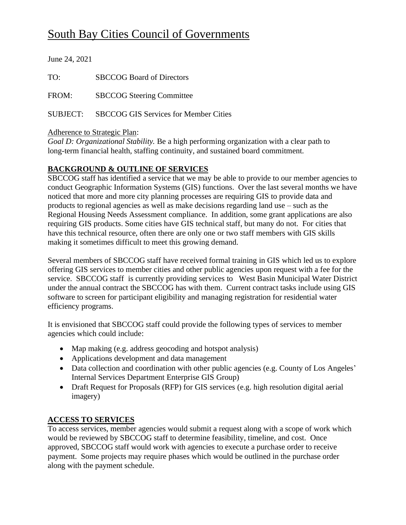# South Bay Cities Council of Governments

June 24, 2021 TO: SBCCOG Board of Directors FROM: SBCCOG Steering Committee SUBJECT: SBCCOG GIS Services for Member Cities

#### Adherence to Strategic Plan:

*Goal D: Organizational Stability.* Be a high performing organization with a clear path to long-term financial health, staffing continuity, and sustained board commitment.

## **BACKGROUND & OUTLINE OF SERVICES**

SBCCOG staff has identified a service that we may be able to provide to our member agencies to conduct Geographic Information Systems (GIS) functions. Over the last several months we have noticed that more and more city planning processes are requiring GIS to provide data and products to regional agencies as well as make decisions regarding land use – such as the Regional Housing Needs Assessment compliance. In addition, some grant applications are also requiring GIS products. Some cities have GIS technical staff, but many do not. For cities that have this technical resource, often there are only one or two staff members with GIS skills making it sometimes difficult to meet this growing demand.

Several members of SBCCOG staff have received formal training in GIS which led us to explore offering GIS services to member cities and other public agencies upon request with a fee for the service. SBCCOG staff is currently providing services to West Basin Municipal Water District under the annual contract the SBCCOG has with them. Current contract tasks include using GIS software to screen for participant eligibility and managing registration for residential water efficiency programs.

It is envisioned that SBCCOG staff could provide the following types of services to member agencies which could include:

- Map making (e.g. address geocoding and hotspot analysis)
- Applications development and data management
- Data collection and coordination with other public agencies (e.g. County of Los Angeles' Internal Services Department Enterprise GIS Group)
- Draft Request for Proposals (RFP) for GIS services (e.g. high resolution digital aerial imagery)

## **ACCESS TO SERVICES**

To access services, member agencies would submit a request along with a scope of work which would be reviewed by SBCCOG staff to determine feasibility, timeline, and cost. Once approved, SBCCOG staff would work with agencies to execute a purchase order to receive payment. Some projects may require phases which would be outlined in the purchase order along with the payment schedule.